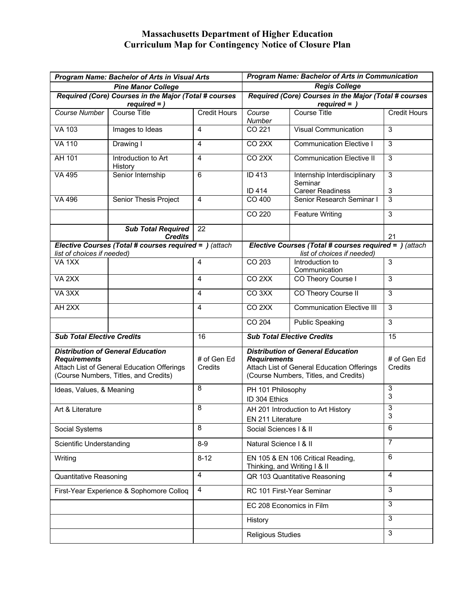## **Massachusetts Department of Higher Education Curriculum Map for Contingency Notice of Closure Plan**

| <b>Program Name: Bachelor of Arts in Visual Arts</b>                                                                                                   |                                             |                        | <b>Program Name: Bachelor of Arts in Communication</b>                                                                                                 |                                                      |                        |
|--------------------------------------------------------------------------------------------------------------------------------------------------------|---------------------------------------------|------------------------|--------------------------------------------------------------------------------------------------------------------------------------------------------|------------------------------------------------------|------------------------|
| <b>Pine Manor College</b>                                                                                                                              |                                             |                        | <b>Regis College</b>                                                                                                                                   |                                                      |                        |
| Required (Core) Courses in the Major (Total # courses<br>$required =$ )                                                                                |                                             |                        | Required (Core) Courses in the Major (Total # courses<br>$required =$                                                                                  |                                                      |                        |
| <b>Course Number</b>                                                                                                                                   | <b>Course Title</b>                         | <b>Credit Hours</b>    | Course<br><b>Number</b>                                                                                                                                | <b>Course Title</b>                                  | <b>Credit Hours</b>    |
| <b>VA 103</b>                                                                                                                                          | Images to Ideas                             | 4                      | CO 221                                                                                                                                                 | <b>Visual Communication</b>                          | 3                      |
| <b>VA 110</b>                                                                                                                                          | Drawing I                                   | 4                      | CO <sub>2</sub> XX                                                                                                                                     | <b>Communication Elective I</b>                      | 3                      |
| <b>AH 101</b>                                                                                                                                          | Introduction to Art<br>History              | 4                      | CO <sub>2</sub> XX                                                                                                                                     | <b>Communication Elective II</b>                     | 3                      |
| VA 495                                                                                                                                                 | Senior Internship                           | 6                      | <b>ID 413</b>                                                                                                                                          | Internship Interdisciplinary<br>Seminar              | $\sqrt{3}$             |
| VA 496                                                                                                                                                 | Senior Thesis Project                       | $\overline{4}$         | <b>ID 414</b><br>CO 400                                                                                                                                | <b>Career Readiness</b><br>Senior Research Seminar I | 3<br>3                 |
|                                                                                                                                                        |                                             |                        | CO 220                                                                                                                                                 | <b>Feature Writing</b>                               | 3                      |
|                                                                                                                                                        | <b>Sub Total Required</b><br><b>Credits</b> | 22                     |                                                                                                                                                        |                                                      | 21                     |
| Elective Courses (Total # courses required = ) (attach<br>list of choices if needed)                                                                   |                                             |                        | Elective Courses (Total # courses required = ) (attach<br>list of choices if needed)                                                                   |                                                      |                        |
| VA <sub>1XX</sub>                                                                                                                                      |                                             | 4                      | CO 203                                                                                                                                                 | Introduction to<br>Communication                     | 3                      |
| VA <sub>2XX</sub>                                                                                                                                      |                                             | 4                      | CO <sub>2XX</sub>                                                                                                                                      | CO Theory Course I                                   | 3                      |
| VA 3XX                                                                                                                                                 |                                             | 4                      | CO <sub>3</sub> XX                                                                                                                                     | CO Theory Course II                                  | 3                      |
| AH <sub>2</sub> XX                                                                                                                                     |                                             | 4                      | CO <sub>2</sub> XX                                                                                                                                     | <b>Communication Elective III</b>                    | 3                      |
|                                                                                                                                                        |                                             |                        | CO 204                                                                                                                                                 | <b>Public Speaking</b>                               | 3                      |
| <b>Sub Total Elective Credits</b>                                                                                                                      |                                             | 16                     | <b>Sub Total Elective Credits</b>                                                                                                                      |                                                      | 15                     |
| <b>Distribution of General Education</b><br><b>Requirements</b><br>Attach List of General Education Offerings<br>(Course Numbers, Titles, and Credits) |                                             | # of Gen Ed<br>Credits | <b>Distribution of General Education</b><br><b>Requirements</b><br>Attach List of General Education Offerings<br>(Course Numbers, Titles, and Credits) |                                                      | # of Gen Ed<br>Credits |
| Ideas, Values, & Meaning                                                                                                                               |                                             | 8                      | PH 101 Philosophy<br>ID 304 Ethics                                                                                                                     |                                                      | 3<br>3                 |
| Art & Literature                                                                                                                                       |                                             | 8                      | AH 201 Introduction to Art History<br>EN 211 Literature                                                                                                |                                                      | 3<br>3                 |
| Social Systems                                                                                                                                         |                                             | 8                      | Social Sciences   & II                                                                                                                                 |                                                      | 6                      |
| Scientific Understanding                                                                                                                               |                                             | $8-9$                  | Natural Science   & II                                                                                                                                 |                                                      | $\overline{7}$         |
| Writing                                                                                                                                                |                                             | $8 - 12$               | EN 105 & EN 106 Critical Reading,<br>Thinking, and Writing I & II                                                                                      |                                                      | 6                      |
| <b>Quantitative Reasoning</b>                                                                                                                          |                                             | 4                      | QR 103 Quantitative Reasoning                                                                                                                          |                                                      | 4                      |
| First-Year Experience & Sophomore Colloq                                                                                                               |                                             | 4                      | RC 101 First-Year Seminar                                                                                                                              |                                                      | 3                      |
|                                                                                                                                                        |                                             |                        | EC 208 Economics in Film                                                                                                                               |                                                      | 3                      |
|                                                                                                                                                        |                                             |                        | History                                                                                                                                                |                                                      | 3                      |
|                                                                                                                                                        |                                             |                        | <b>Religious Studies</b>                                                                                                                               |                                                      | 3                      |